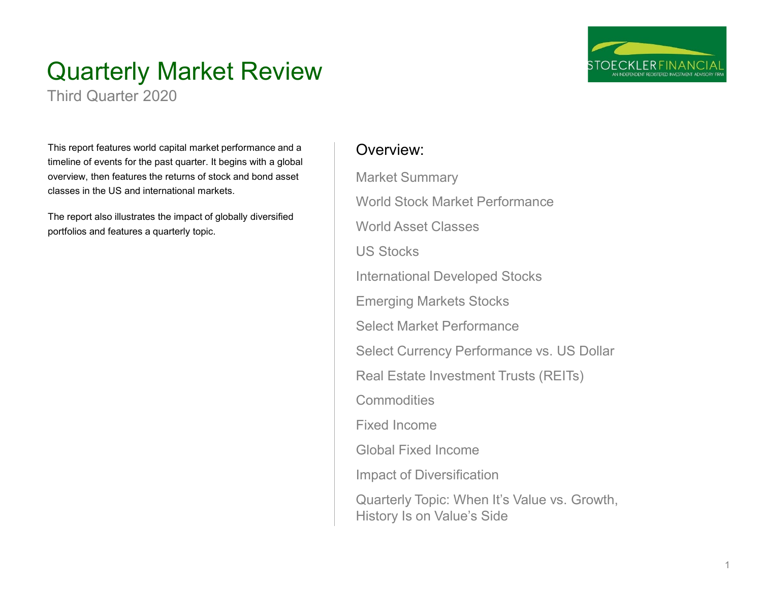

# Quarterly Market Review

Third Quarter 2020

This report features world capital market performance and a timeline of events for the past quarter. It begins with a global overview, then features the returns of stock and bond asset classes in the US and international markets.

The report also illustrates the impact of globally diversified portfolios and features a quarterly topic.

## Overview:

Market Summary World Stock Market Performance World Asset Classes US Stocks International Developed Stocks Emerging Markets Stocks Select Market Performance Select Currency Performance vs. US Dollar Real Estate Investment Trusts (REITs) **Commodities** Fixed Income Global Fixed Income Impact of Diversification Quarterly Topic: When It's Value vs. Growth, History Is on Value's Side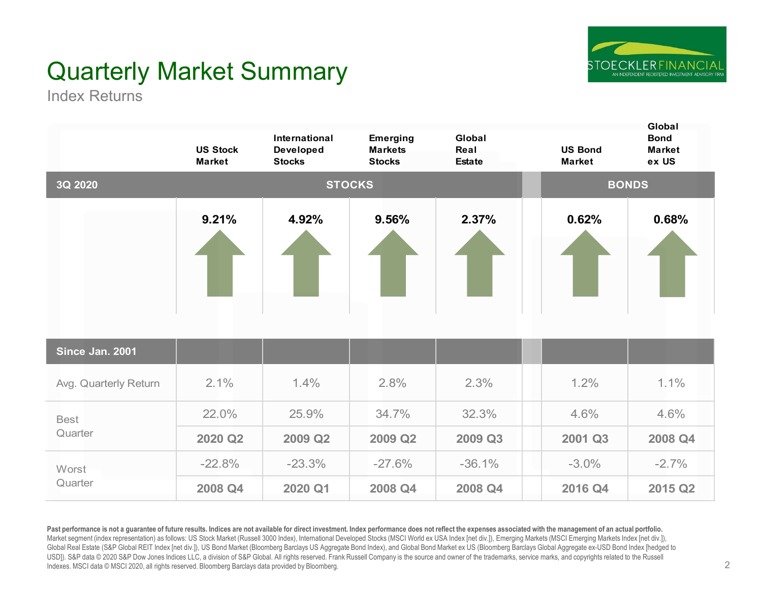

# Quarterly Market Summary

Index Returns

|                       | <b>US Stock</b><br><b>Market</b> | International<br><b>Developed</b><br><b>Stocks</b> | Emerging<br><b>Markets</b><br><b>Stocks</b> | Global<br>Real<br><b>Estate</b> | <b>US Bond</b><br><b>Market</b> | Global<br><b>Bond</b><br><b>Market</b><br>ex US |
|-----------------------|----------------------------------|----------------------------------------------------|---------------------------------------------|---------------------------------|---------------------------------|-------------------------------------------------|
| 3Q 2020               |                                  |                                                    | <b>STOCKS</b>                               |                                 |                                 | <b>BONDS</b>                                    |
|                       | 9.21%                            | 4.92%                                              | 9.56%                                       | 2.37%                           | 0.62%                           | 0.68%                                           |
| Since Jan. 2001       |                                  |                                                    |                                             |                                 |                                 |                                                 |
| Avg. Quarterly Return | 2.1%                             | 1.4%                                               | 2.8%                                        | 2.3%                            | 1.2%                            | 1.1%                                            |
| <b>Best</b>           | 22.0%                            | 25.9%                                              | 34.7%                                       | 32.3%                           | 4.6%                            | 4.6%                                            |
| Quarter               | 2020 Q2                          | 2009 Q2                                            | 2009 Q2                                     | 2009 Q3                         | 2001 Q3                         | 2008 Q4                                         |
| Worst                 | $-22.8%$                         | $-23.3%$                                           | $-27.6%$                                    | $-36.1%$                        | $-3.0%$                         | $-2.7%$                                         |
| Quarter               | 2008 Q4                          | 2020 Q1                                            | 2008 Q4                                     | 2008 Q4                         | 2016 Q4                         | 2015 Q2                                         |

Past performance is not a guarantee of future results. Indices are not available for direct investment. Index performance does not reflect the expenses associated with the management of an actual portfolio. Market segment (index representation) as follows: US Stock Market (Russell 3000 Index), International Developed Stocks (MSCI World ex USA Index [net div.]), Emerging Markets (MSCI Emerging Markets Index [net div.]), Global Real Estate (S&P Global REIT Index [net div.]), US Bond Market (Bloomberg Barclays US Aggregate Bond Index), and Global Bond Market ex US (Bloomberg Barclays Global Aggregate ex-USD Bond Index [hedged to USD]). S&P data © 2020 S&P Dow Jones Indices LLC, a division of S&P Global. All rights reserved. Frank Russell Company is the source and owner of the trademarks, service marks, and copyrights related to the Russell Indexes. MSCI data © MSCI 2020, all rights reserved. Bloomberg Barclays data provided by Bloomberg.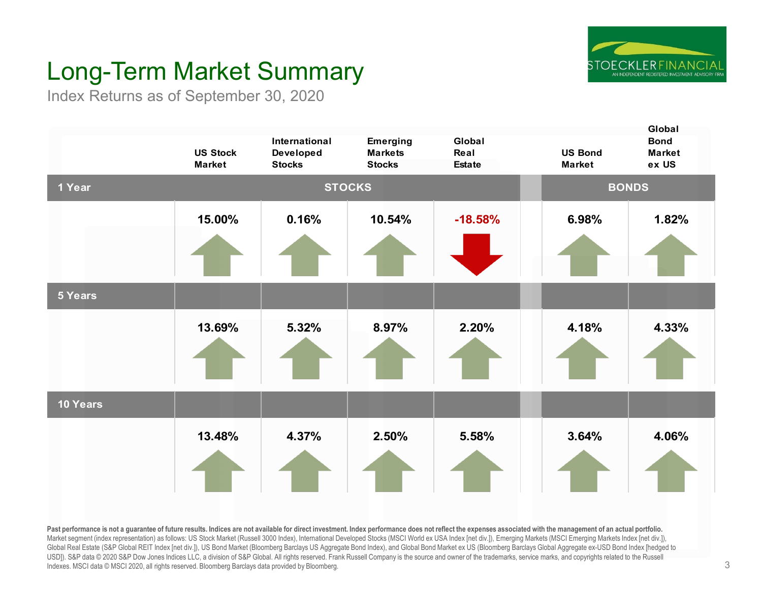

# Long-Term Market Summary

Index Returns as of September 30, 2020



Past performance is not a quarantee of future results. Indices are not available for direct investment. Index performance does not reflect the expenses associated with the management of an actual portfolio. Market segment (index representation) as follows: US Stock Market (Russell 3000 Index), International Developed Stocks (MSCI World ex USA Index [net div.]), Emerging Markets (MSCI Emerging Markets Index [net div.]), Global Real Estate (S&P Global REIT Index [net div.]), US Bond Market (Bloomberg Barclays US Aggregate Bond Index), and Global Bond Market ex US (Bloomberg Barclays Global Aggregate ex-USD Bond Index [hedged to USD]). S&P data © 2020 S&P Dow Jones Indices LLC, a division of S&P Global. All rights reserved. Frank Russell Company is the source and owner of the trademarks, service marks, and copyrights related to the Russell Indexes. MSCI data © MSCI 2020, all rights reserved. Bloomberg Barclays data provided by Bloomberg.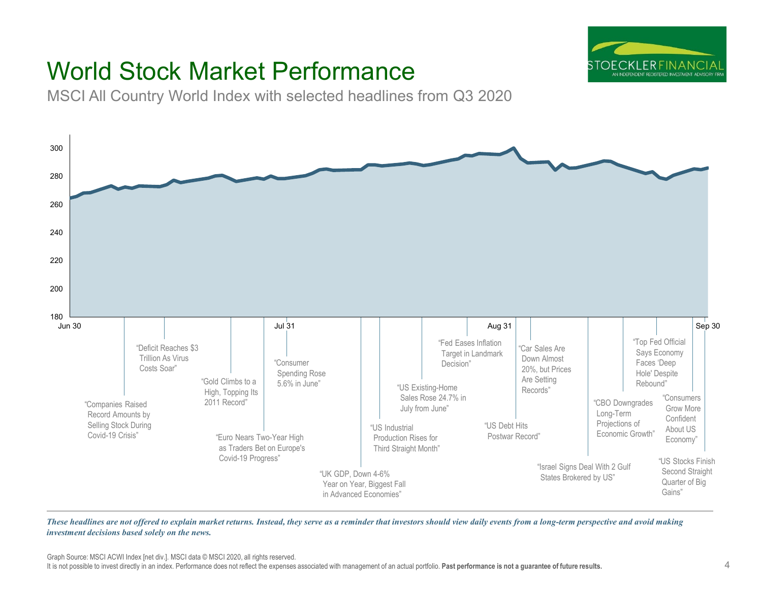

# World Stock Market Performance

MSCI All Country World Index with selected headlines from Q3 2020



These headlines are not offered to explain market returns. Instead, they serve as a reminder that investors should view daily events from a long-term perspective and avoid making *investment decisions based solely on the news.*

Graph Source: MSCI ACWI Index [net div.]. MSCI data © MSCI 2020, all rights reserved.

It is not possible to invest directly in an index. Performance does not reflect the expenses associated with management of an actual portfolio. **Past performance is not a guarantee of future results.**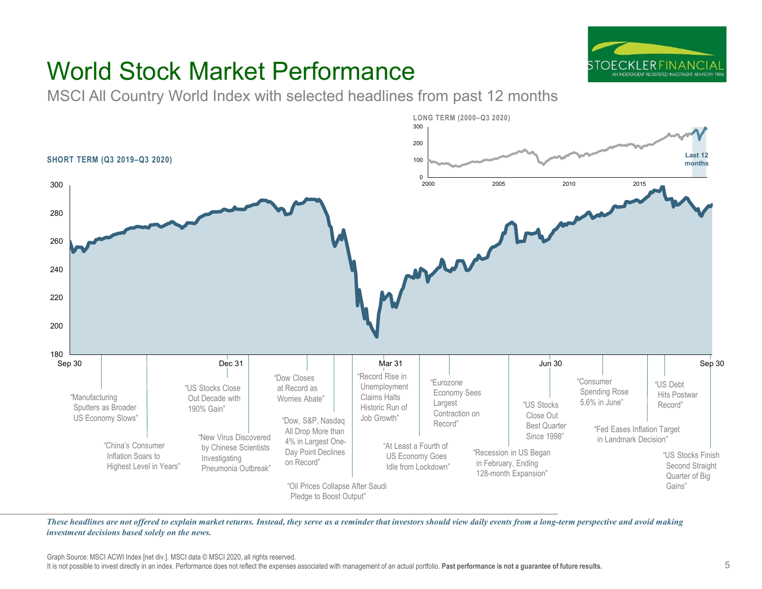

# World Stock Market Performance

MSCI All Country World Index with selected headlines from past 12 months



These headlines are not offered to explain market returns. Instead, they serve as a reminder that investors should view daily events from a long-term perspective and avoid making *investment decisions based solely on the news.*

Graph Source: MSCI ACWI Index [net div.]. MSCI data © MSCI 2020, all rights reserved.

It is not possible to invest directly in an index. Performance does not reflect the expenses associated with management of an actual portfolio. **Past performance is not a guarantee of future results.**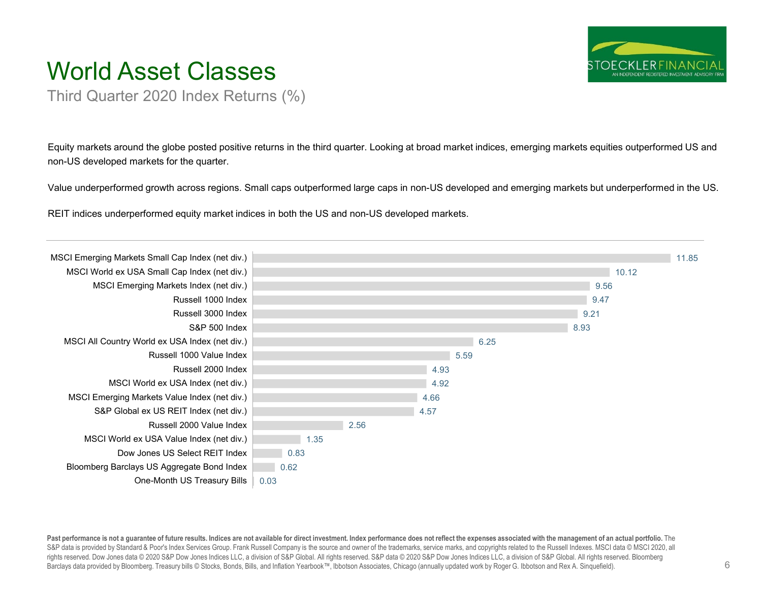

# World Asset Classes

Third Quarter 2020 Index Returns (%)

Equity markets around the globe posted positive returns in the third quarter. Looking at broad market indices, emerging markets equities outperformed US and non-US developed markets for the quarter.

Value underperformed growth across regions. Small caps outperformed large caps in non-US developed and emerging markets but underperformed in the US.

REIT indices underperformed equity market indices in both the US and non-US developed markets.



Past performance is not a guarantee of future results. Indices are not available for direct investment. Index performance does not reflect the expenses associated with the management of an actual portfolio. The S&P data is provided by Standard & Poor's Index Services Group. Frank Russell Company is the source and owner of the trademarks, service marks, and copyrights related to the Russell Indexes. MSCI data © MSCI 2020, all rights reserved. Dow Jones data © 2020 S&P Dow Jones Indices LLC, a division of S&P Global. All rights reserved. S&P data © 2020 S&P Dow Jones Indices LLC, a division of S&P Global. All rights reserved. Bloomberg Barclays data provided by Bloomberg. Treasury bills © Stocks, Bonds, Bills, and Inflation Yearbook™, Ibbotson Associates, Chicago (annually updated work by Roger G. Ibbotson and Rex A. Sinquefield).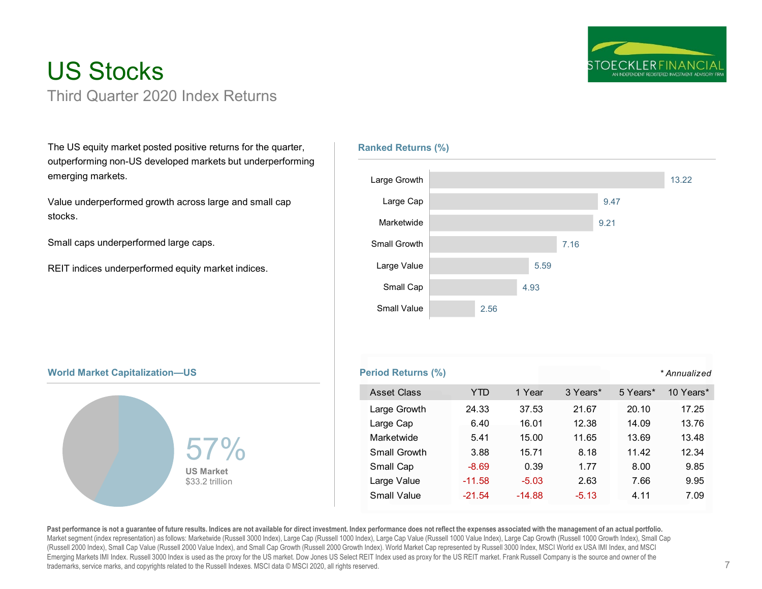

## US Stocks Third Quarter 2020 Index Returns

The US equity market posted positive returns for the quarter, outperforming non-US developed markets but underperforming emerging markets.

Value underperformed growth across large and small cap stocks.

Small caps underperformed large caps.

REIT indices underperformed equity market indices.

### **Ranked Returns (%)**



### **World Market Capitalization—US Period Returns (%) Period Returns (%)**



### *\* Annualized* Asset Class TTD 1 Year 3 Years\* 5 Years\* 10 Years\* Large Growth 24.33 37.53 21.67 20.10 17.25 Large Cap 6.40 16.01 12.38 14.09 13.76 Marketwide 5.41 15.00 11.65 13.69 13.48 Small Growth 3.88 15.71 8.18 11.42 12.34 Small Cap  $-8.69$  0.39 1.77 8.00 9.85 Large Value  $-11.58$   $-5.03$   $2.63$   $7.66$   $9.95$ Small Value  $-21.54$   $-14.88$   $-5.13$   $4.11$   $7.09$

Past performance is not a quarantee of future results. Indices are not available for direct investment. Index performance does not reflect the expenses associated with the management of an actual portfolio. Market segment (index representation) as follows: Marketwide (Russell 3000 Index), Large Cap (Russell 1000 Index), Large Cap Value (Russell 1000 Value Index), Large Cap Growth (Russell 1000 Growth Index), Small Cap (Russell 2000 Index), Small Cap Value (Russell 2000 Value Index), and Small Cap Growth (Russell 2000 Growth Index). World Market Cap represented by Russell 3000 Index, MSCI World ex USA IMI Index, and MSCI Emerging Markets IMI Index. Russell 3000 Index is used as the proxy for the US market. Dow Jones US Select REIT Index used as proxy for the US REIT market. Frank Russell Company is the source and owner of the trademarks, service marks, and copyrights related to the Russell Indexes. MSCI data © MSCI 2020, all rights reserved.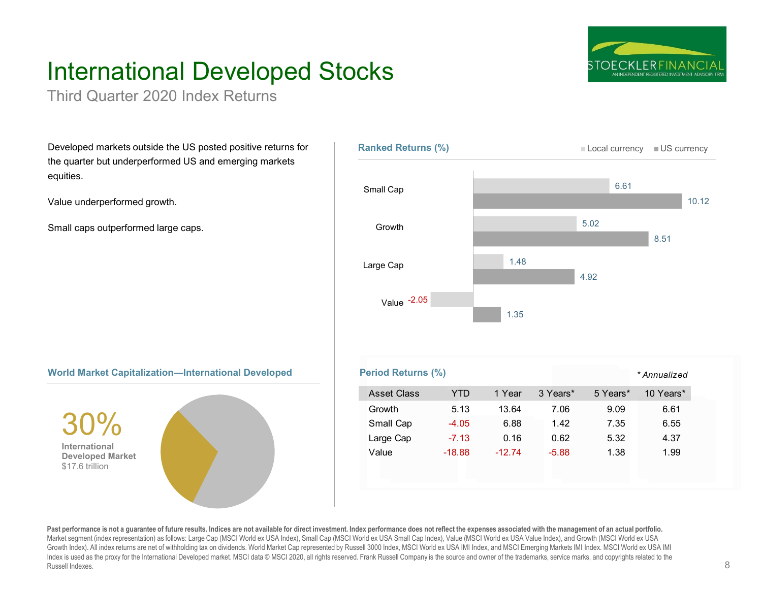# International Developed Stocks

Third Quarter 2020 Index Returns

Developed markets outside the US posted positive returns for the quarter but underperformed US and emerging markets equities.

Value underperformed growth.

Small caps outperformed large caps.







Past performance is not a quarantee of future results. Indices are not available for direct investment. Index performance does not reflect the expenses associated with the management of an actual portfolio. Market segment (index representation) as follows: Large Cap (MSCI World ex USA Index), Small Cap (MSCI World ex USA Small Cap Index), Value (MSCI World ex USA Value Index), and Growth (MSCI World ex USA Growth Index). All index returns are net of withholding tax on dividends. World Market Cap represented by Russell 3000 Index, MSCI World ex USA IMI Index, and MSCI Emerging Markets IMI Index. MSCI World ex USA IMI Index is used as the proxy for the International Developed market. MSCI data © MSCI 2020, all rights reserved. Frank Russell Company is the source and owner of the trademarks, service marks, and copyrights related to the Russell Indexes.

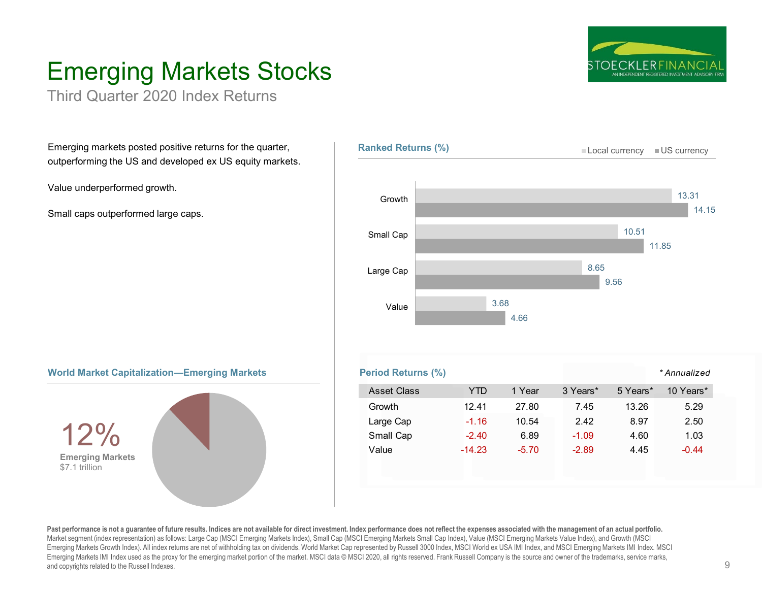

# Emerging Markets Stocks

Third Quarter 2020 Index Returns

Emerging markets posted positive returns for the quarter, outperforming the US and developed ex US equity markets.

Value underperformed growth.

Small caps outperformed large caps.







| orld Market Capitalization—Emerging Markets | <b>Period Returns (%)</b> |            |         |          |          | * Annualized |
|---------------------------------------------|---------------------------|------------|---------|----------|----------|--------------|
|                                             | <b>Asset Class</b>        | <b>YTD</b> | 1 Year  | 3 Years* | 5 Years* | 10 Years*    |
| 1904                                        | Growth                    | 12.41      | 27.80   | 7.45     | 13.26    | 5.29         |
|                                             | Large Cap                 | $-1.16$    | 10.54   | 2.42     | 8.97     | 2.50         |
|                                             | Small Cap                 | $-2.40$    | 6.89    | $-1.09$  | 4.60     | 1.03         |
| <b>Emerging Markets</b><br>ホラーオーエコロー ニー     | Value                     | $-14.23$   | $-5.70$ | $-2.89$  | 4.45     | $-0.44$      |

Past performance is not a quarantee of future results. Indices are not available for direct investment. Index performance does not reflect the expenses associated with the management of an actual portfolio. Market segment (index representation) as follows: Large Cap (MSCI Emerging Markets Index), Small Cap (MSCI Emerging Markets Small Cap Index), Value (MSCI Emerging Markets Value Index), and Growth (MSCI Emerging Markets Growth Index). All index returns are net of withholding tax on dividends. World Market Cap represented by Russell 3000 Index, MSCI World ex USA IMI Index, and MSCI Emerging Markets IMI Index. MSCI Emerging Markets IMI Index used as the proxy for the emerging market portion of the market. MSCI data © MSCI 2020, all rights reserved. Frank Russell Company is the source and owner of the trademarks, service marks, and copyrights related to the Russell Indexes.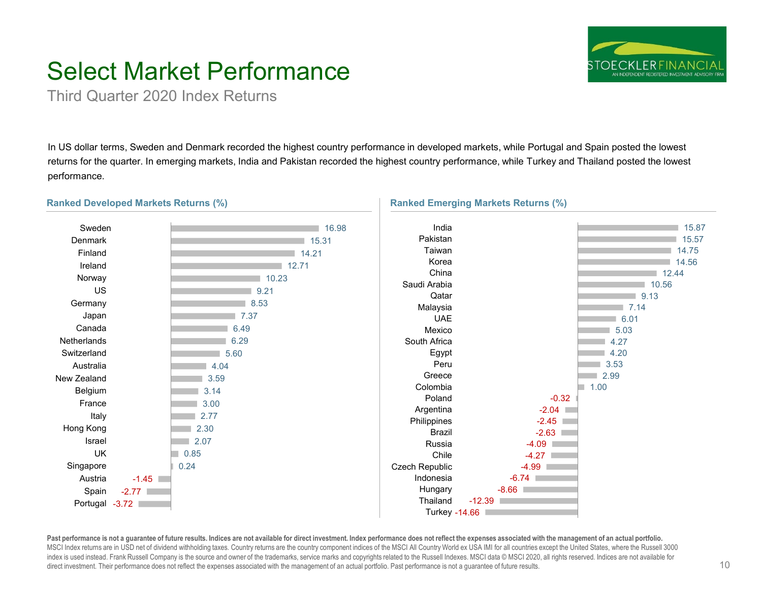

# Select Market Performance

Third Quarter 2020 Index Returns

In US dollar terms, Sweden and Denmark recorded the highest country performance in developed markets, while Portugal and Spain posted the lowest returns for the quarter. In emerging markets, India and Pakistan recorded the highest country performance, while Turkey and Thailand posted the lowest performance.



Past performance is not a guarantee of future results. Indices are not available for direct investment. Index performance does not reflect the expenses associated with the management of an actual portfolio. MSCI Index returns are in USD net of dividend withholding taxes. Country returns are the country component indices of the MSCI All Country World ex USA IMI for all countries except the United States, where the Russell 3000 index is used instead. Frank Russell Company is the source and owner of the trademarks, service marks and copyrights related to the Russell Indexes. MSCI data © MSCI 2020, all rights reserved. Indices are not available for direct investment. Their performance does not reflect the expenses associated with the management of an actual portfolio. Past performance is not a guarantee of future results.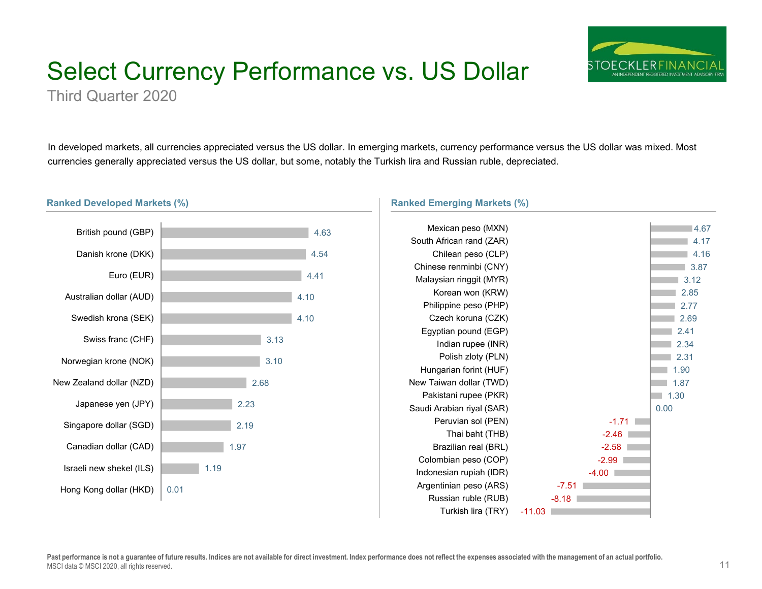# Select Currency Performance vs. US Dollar



Third Quarter 2020

In developed markets, all currencies appreciated versus the US dollar. In emerging markets, currency performance versus the US dollar was mixed. Most currencies generally appreciated versus the US dollar, but some, notably the Turkish lira and Russian ruble, depreciated.

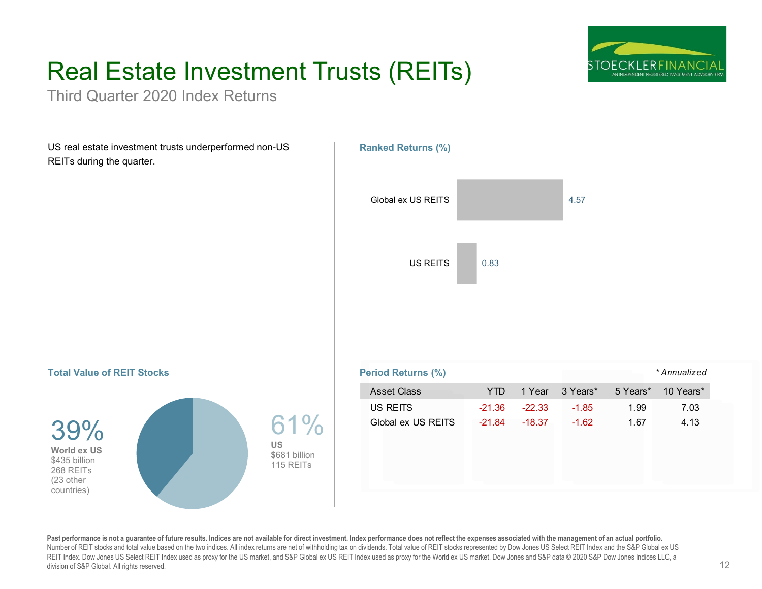# Real Estate Investment Trusts (REITs)



Third Quarter 2020 Index Returns

US real estate investment trusts underperformed non-US REITs during the quarter.



### **Total Value of REIT Stocks**



|                                                | <b>Period Returns (%)</b> | * Annualized |          |          |          |           |
|------------------------------------------------|---------------------------|--------------|----------|----------|----------|-----------|
|                                                | <b>Asset Class</b>        | <b>YTD</b>   | 1 Year   | 3 Years* | 5 Years* | 10 Years* |
|                                                | US REITS                  | $-21.36$     | $-22.33$ | $-1.85$  | 1.99     | 7.03      |
| 61%<br><b>US</b><br>\$681 billion<br>115 REITs | Global ex US REITS        | $-21.84$     | $-18.37$ | $-1.62$  | 1.67     | 4.13      |

Past performance is not a guarantee of future results. Indices are not available for direct investment. Index performance does not reflect the expenses associated with the management of an actual portfolio. Number of REIT stocks and total value based on the two indices. All index returns are net of withholding tax on dividends. Total value of REIT stocks represented by Dow Jones US Select REIT Index and the S&P Global ex US REIT Index. Dow Jones US Select REIT Index used as proxy for the US market, and S&P Global ex US REIT Index used as proxy for the World ex US market. Dow Jones and S&P data © 2020 S&P Dow Jones Indices LLC, a division of S&P Global. All rights reserved.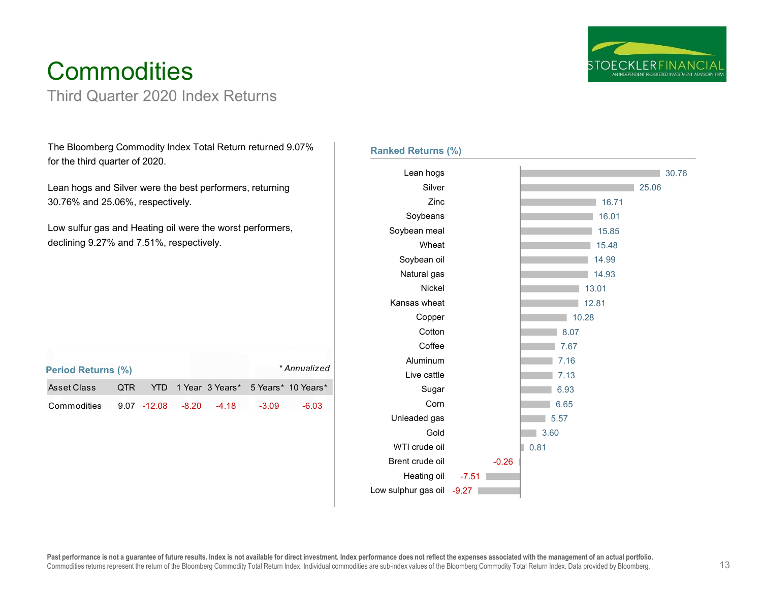

# **Commodities**

## Third Quarter 2020 Index Returns

The Bloomberg Commodity Index Total Return returned 9.07% for the third quarter of 2020.

Lean hogs and Silver were the best performers, returning 30.76% and 25.06%, respectively.

Low sulfur gas and Heating oil were the worst performers, declining 9.27% and 7.51%, respectively.

| <b>Period Returns (%)</b>           |  |  |         | * Annualized                               |
|-------------------------------------|--|--|---------|--------------------------------------------|
| Asset Class                         |  |  |         | QTR YTD 1 Year 3 Years* 5 Years* 10 Years* |
| Commodities 9.07 -12.08 -8.20 -4.18 |  |  | $-3.09$ | -6.03                                      |

### **Ranked Returns (%)**

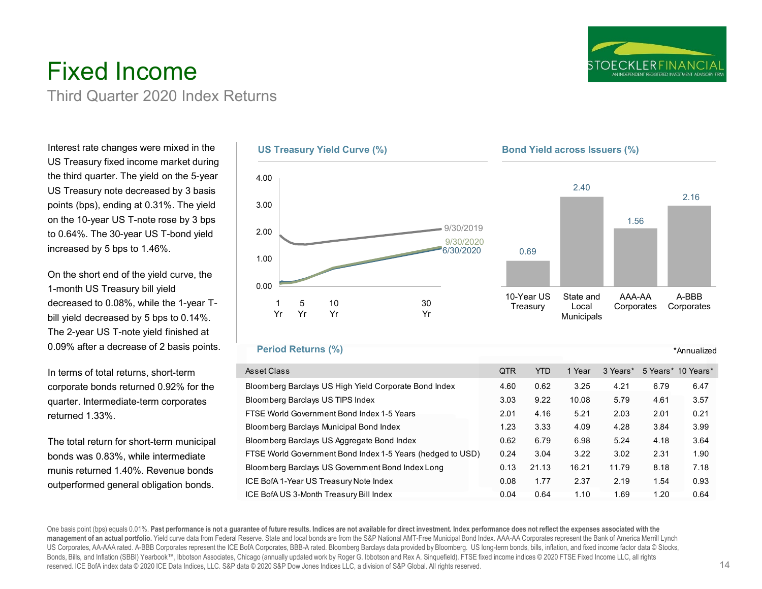

## Fixed Income Third Quarter 2020 Index Returns

Interest rate changes were mixed in the US Treasury fixed income market during the third quarter. The yield on the 5-year US Treasury note decreased by 3 basis points (bps), ending at 0.31%. The yield on the 10-year US T-note rose by 3 bps to 0.64%. The 30-year US T-bond yield increased by 5 bps to 1.46%.

On the short end of the yield curve, the 1-month US Treasury bill yield decreased to 0.08%, while the 1-year Tbill yield decreased by 5 bps to 0.14%. The 2-year US T-note yield finished at 0.09% after a decrease of 2 basis points.

In terms of total returns, short-term corporate bonds returned 0.92% for the quarter. Intermediate-term corporates returned 1.33%.

The total return for short-term municipal bonds was 0.83%, while intermediate munis returned 1.40%. Revenue bonds outperformed general obligation bonds.



### **Period Returns (%)**

| Asset Class                                                | <b>QTR</b> | YTD   | 1 Year | 3 Years* | 5 Years* 10 Years* |      |
|------------------------------------------------------------|------------|-------|--------|----------|--------------------|------|
| Bloomberg Barclays US High Yield Corporate Bond Index      | 4.60       | 0.62  | 3.25   | 4.21     | 6.79               | 6.47 |
| Bloomberg Barclays US TIPS Index                           | 3.03       | 9.22  | 10.08  | 5.79     | 4.61               | 3.57 |
| FTSE World Government Bond Index 1-5 Years                 | 2.01       | 4.16  | 5.21   | 2.03     | 2.01               | 0.21 |
| Bloomberg Barclays Municipal Bond Index                    | 1.23       | 3.33  | 4.09   | 4.28     | 3.84               | 3.99 |
| Bloomberg Barclays US Aggregate Bond Index                 | 0.62       | 6.79  | 6.98   | 5.24     | 4.18               | 3.64 |
| FTSE World Government Bond Index 1-5 Years (hedged to USD) | 0.24       | 3.04  | 3.22   | 3.02     | 2.31               | 1.90 |
| Bloomberg Barclays US Government Bond Index Long           | 0.13       | 21.13 | 16.21  | 11.79    | 8.18               | 7.18 |
| ICE BofA 1-Year US Treasury Note Index                     | 0.08       | 1.77  | 2.37   | 2.19     | 1.54               | 0.93 |
| ICE BofA US 3-Month Treasury Bill Index                    | 0.04       | 0.64  | 1.10   | 1.69     | 1.20               | 0.64 |

One basis point (bps) equals 0.01%. Past performance is not a quarantee of future results. Indices are not available for direct investment. Index performance does not reflect the expenses associated with the **management of an actual portfolio.** Yield curve data from Federal Reserve. State and local bonds are from the S&P National AMT-Free Municipal Bond Index. AAA-AA Corporates represent the Bank of America Merrill Lynch US Corporates, AA-AAA rated. A-BBB Corporates represent the ICE BofA Corporates, BBB-A rated. Bloomberg Barclays data provided by Bloomberg. US long-term bonds, bills, inflation, and fixed income factor data © Stocks, Bonds, Bills, and Inflation (SBBI) Yearbook™, Ibbotson Associates, Chicago (annually updated work by Roger G. Ibbotson and Rex A. Sinquefield). FTSE fixed income indices © 2020 FTSE Fixed Income LLC, all rights reserved. ICE BofA index data © 2020 ICE Data Indices, LLC. S&P data © 2020 S&P Dow Jones Indices LLC, a division of S&P Global. All rights reserved.

\*Annualized

14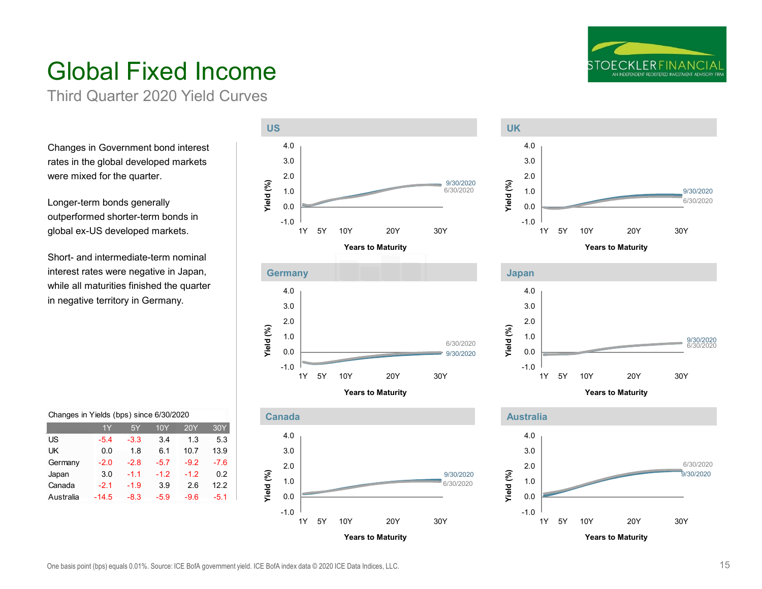

# Global Fixed Income

Third Quarter 2020 Yield Curves

Changes in Government bond interest rates in the global developed markets were mixed for the quarter.

Longer-term bonds generally outperformed shorter-term bonds in global ex-US developed markets.

Short- and intermediate-term nominal interest rates were negative in Japan, while all maturities finished the quarter in negative territory in Germany.





1Y 5Y 10Y 20Y 30Y

**Years to Maturity**

9/30/2020 6/30/2020



3.0 4.0



**Years to Maturity**



|  |  |  |  |  | Changes in Yields (bps) since 6/30/2020 |
|--|--|--|--|--|-----------------------------------------|
|--|--|--|--|--|-----------------------------------------|

|           | 1Y      | 5Y     | 10Y    | 20Y    | 30Y    |
|-----------|---------|--------|--------|--------|--------|
| US        | $-5.4$  | $-3.3$ | 3.4    | 1.3    | 5.3    |
| UK        | 0.0     | 1.8    | 6.1    | 10.7   | 13.9   |
| Germany   | $-2.0$  | $-2.8$ | $-5.7$ | $-9.2$ | $-7.6$ |
| Japan     | 3.0     | $-1.1$ | $-1.2$ | $-1.2$ | 0.2    |
| Canada    | $-2.1$  | $-1.9$ | 3.9    | 2.6    | 12.2   |
| Australia | $-14.5$ | $-8.3$ | $-5.9$ | $-9.6$ | $-5.1$ |

-1.0 0.0 1.0 2.0 3.0 4.0

**Yield (%)**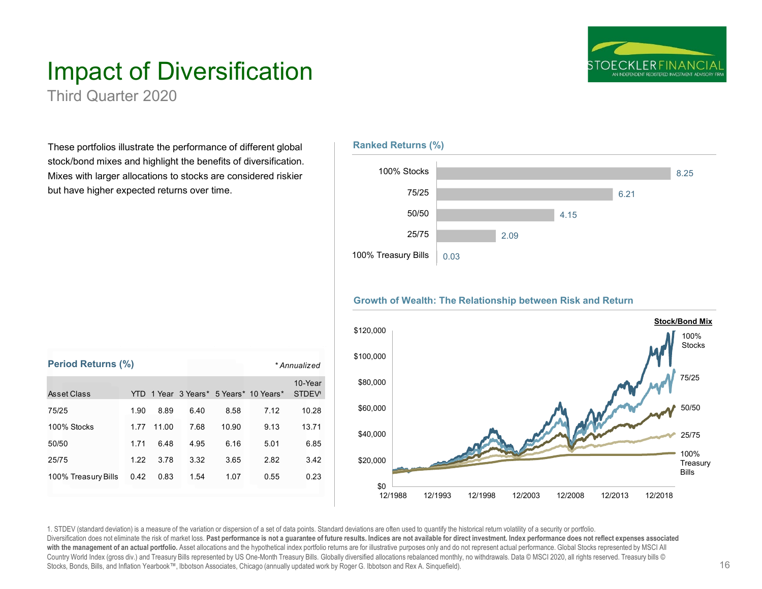

# Impact of Diversification

Third Quarter 2020

**Period Returns (%)**

These portfolios illustrate the performance of different global stock/bond mixes and highlight the benefits of diversification. Mixes with larger allocations to stocks are considered riskier but have higher expected returns over time.

Asset Class TTD 1 Year 3 Years\* 5 Years\* 10 Years\*

75/25 1.90 8.89 6.40 8.58 7.12 10.28 100% Stocks 1.77 11.00 7.68 10.90 9.13 13.71 50/50 1.71 6.48 4.95 6.16 5.01 6.85 25/75 1.22 3.78 3.32 3.65 2.82 3.42 100% Treasury Bills 0.42 0.83 1.54 1.07 0.55 0.23



### **Growth of Wealth: The Relationship between Risk and Return**



1. STDEV (standard deviation) is a measure of the variation or dispersion of a set of data points. Standard deviations are often used to quantify the historical return volatility of a security or portfolio. Diversification does not eliminate the risk of market loss. Past performance is not a guarantee of future results. Indices are not available for direct investment. Index performance does not reflect expenses associated with the management of an actual portfolio. Asset allocations and the hypothetical index portfolio returns are for illustrative purposes only and do not represent actual performance. Global Stocks represented by MSCI All Country World Index (gross div.) and Treasury Bills represented by US One-Month Treasury Bills. Globally diversified allocations rebalanced monthly, no withdrawals. Data © MSCI 2020, all rights reserved. Treasury bills © M Stocks, Bonds, Bills, and Inflation Yearbook™, Ibbotson Associates, Chicago (annually updated work by Roger G. Ibbotson and Rex A. Sinquefield).

10-Year STDEV<sup>1</sup>

*\* Annualized*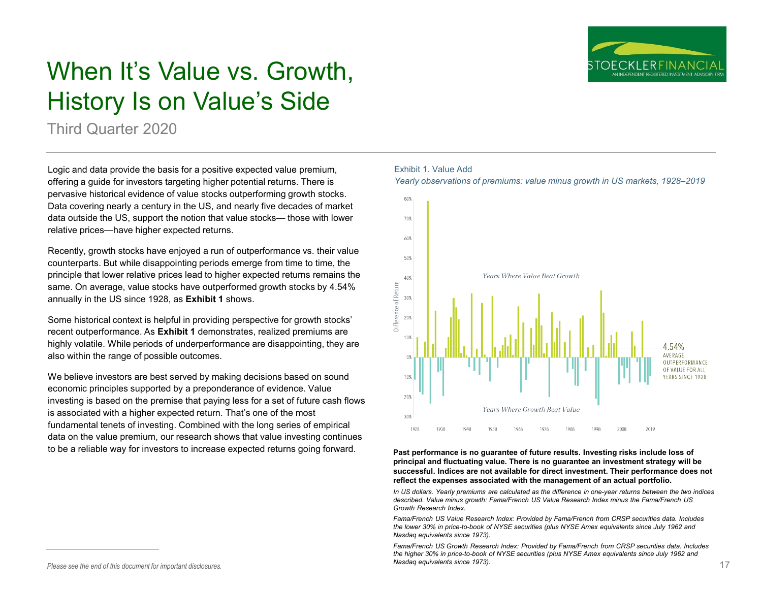

# When It's Value vs. Growth, History Is on Value's Side

Third Quarter 2020

Logic and data provide the basis for a positive expected value premium, offering a guide for investors targeting higher potential returns. There is pervasive historical evidence of value stocks outperforming growth stocks. Data covering nearly a century in the US, and nearly five decades of market data outside the US, support the notion that value stocks— those with lower relative prices—have higher expected returns.

Recently, growth stocks have enjoyed a run of outperformance vs. their value counterparts. But while disappointing periods emerge from time to time, the principle that lower relative prices lead to higher expected returns remains the same. On average, value stocks have outperformed growth stocks by 4.54% annually in the US since 1928, as **Exhibit 1** shows.

Some historical context is helpful in providing perspective for growth stocks' recent outperformance. As **Exhibit 1** demonstrates, realized premiums are highly volatile. While periods of underperformance are disappointing, they are also within the range of possible outcomes.

We believe investors are best served by making decisions based on sound economic principles supported by a preponderance of evidence. Value investing is based on the premise that paying less for a set of future cash flows is associated with a higher expected return. That's one of the most fundamental tenets of investing. Combined with the long series of empirical data on the value premium, our research shows that value investing continues to be a reliable way for investors to increase expected returns going forward.

### Exhibit 1. Value Add

*Yearly observations of premiums: value minus growth in US markets, 1928–2019*



**Past performance is no guarantee of future results. Investing risks include loss of principal and fluctuating value. There is no guarantee an investment strategy will be successful. Indices are not available for direct investment. Their performance does not reflect the expenses associated with the management of an actual portfolio.**

*In US dollars. Yearly premiums are calculated as the difference in one-year returns between the two indices described. Value minus growth: Fama/French US Value Research Index minus the Fama/French US Growth Research Index.*

*Fama/French US Value Research Index: Provided by Fama/French from CRSP securities data. Includes the lower 30% in price-to-book of NYSE securities (plus NYSE Amex equivalents since July 1962 and Nasdaq equivalents since 1973).*

Please see the end of this document for important disclosures. **17 17** *Please see the end of this document for important disclosures.* **17** *Fama/French US Growth Research Index: Provided by Fama/French from CRSP securities data. Includes the higher 30% in price-to-book of NYSE securities (plus NYSE Amex equivalents since July 1962 and Nasdaq equivalents since 1973).*